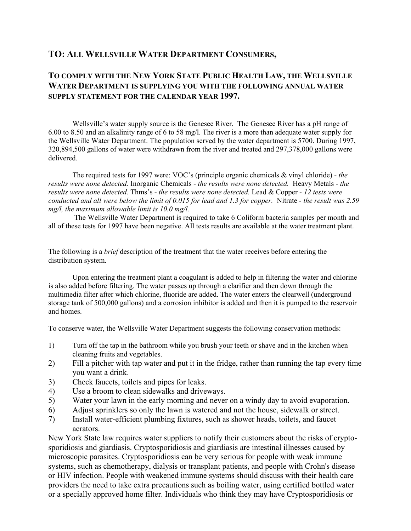## **TO: ALL WELLSVILLE WATER DEPARTMENT CONSUMERS,**

## **TO COMPLY WITH THE NEW YORK STATE PUBLIC HEALTH LAW, THE WELLSVILLE WATER DEPARTMENT IS SUPPLYING YOU WITH THE FOLLOWING ANNUAL WATER SUPPLY STATEMENT FOR THE CALENDAR YEAR 1997.**

Wellsville's water supply source is the Genesee River. The Genesee River has a pH range of 6.00 to 8.50 and an alkalinity range of 6 to 58 mg/l. The river is a more than adequate water supply for the Wellsville Water Department. The population served by the water department is 5700. During 1997, 320,894,500 gallons of water were withdrawn from the river and treated and 297,378,000 gallons were delivered.

The required tests for 1997 were: VOC's (principle organic chemicals & vinyl chloride) *- the results were none detected.* Inorganic Chemicals - *the results were none detected.* Heavy Metals - *the results were none detected.* Thms's *- the results were none detected.* Lead & Copper *- 12 tests were conducted and all were below the limit of 0.015 for lead and 1.3 for copper.* Nitrate *- the result was 2.59 mg/l, the maximum allowable limit is 10.0 mg/l.*

 The Wellsville Water Department is required to take 6 Coliform bacteria samples per month and all of these tests for 1997 have been negative. All tests results are available at the water treatment plant.

The following is a *brief* description of the treatment that the water receives before entering the distribution system.

Upon entering the treatment plant a coagulant is added to help in filtering the water and chlorine is also added before filtering. The water passes up through a clarifier and then down through the multimedia filter after which chlorine, fluoride are added. The water enters the clearwell (underground storage tank of 500,000 gallons) and a corrosion inhibitor is added and then it is pumped to the reservoir and homes.

To conserve water, the Wellsville Water Department suggests the following conservation methods:

- 1) Turn off the tap in the bathroom while you brush your teeth or shave and in the kitchen when cleaning fruits and vegetables.
- 2) Fill a pitcher with tap water and put it in the fridge, rather than running the tap every time you want a drink.
- 3) Check faucets, toilets and pipes for leaks.
- 4) Use a broom to clean sidewalks and driveways.
- 5) Water your lawn in the early morning and never on a windy day to avoid evaporation.
- 6) Adjust sprinklers so only the lawn is watered and not the house, sidewalk or street.
- 7) Install water-efficient plumbing fixtures, such as shower heads, toilets, and faucet aerators.

New York State law requires water suppliers to notify their customers about the risks of cryptosporidiosis and giardiasis. Cryptosporidiosis and giardiasis are intestinal illnesses caused by microscopic parasites. Cryptosporidiosis can be very serious for people with weak immune systems, such as chemotherapy, dialysis or transplant patients, and people with Crohn's disease or HIV infection. People with weakened immune systems should discuss with their health care providers the need to take extra precautions such as boiling water, using certified bottled water or a specially approved home filter. Individuals who think they may have Cryptosporidiosis or